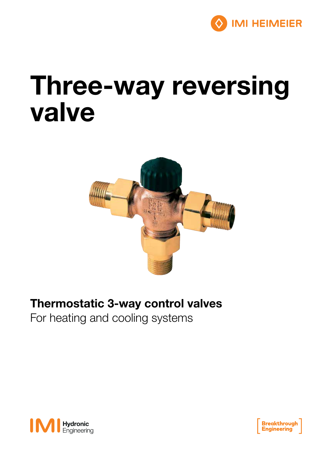

# Three-way reversing valve



### Thermostatic 3-way control valves

For heating and cooling systems



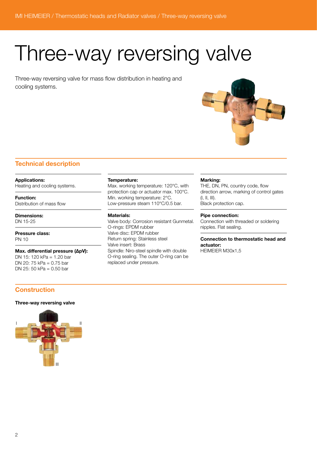## Three-way reversing valve

Three-way reversing valve for mass flow distribution in heating and cooling systems.



#### Technical description

Applications:

Heating and cooling systems.

Function: Distribution of mass flow

Dimensions: DN 15-25

Pressure class: PN 10

Max. differential pressure (ΔpV): DN 15: 120 kPa = 1.20 bar DN 20: 75 kPa = 0.75 bar DN 25: 50 kPa = 0.50 bar

#### **Construction**

#### Three-way reversing valve



#### Temperature:

Max. working temperature: 120°C, with protection cap or actuator max. 100°C. Min. working temperature: 2°C. Low-pressure steam 110°C/0.5 bar.

#### Materials:

Valve body: Corrosion resistant Gunmetal. O-rings: EPDM rubber Valve disc: EPDM rubber Return spring: Stainless steel Valve insert: Brass Spindle: Niro-steel spindle with double O-ring sealing. The outer O-ring can be replaced under pressure.

#### Marking:

THE, DN, PN, country code, flow direction arrow, marking of control gates (I, II, III). Black protection cap.

#### Pipe connection:

Connection with threaded or soldering nipples. Flat sealing.

Connection to thermostatic head and actuator: HEIMEIER M30x1,5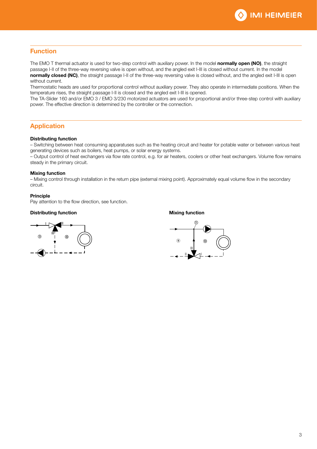

#### Function

The EMO T thermal actuator is used for two-step control with auxiliary power. In the model normally open (NO), the straight passage I-II of the three-way reversing valve is open without, and the angled exit I-III is closed without current. In the model normally closed (NC), the straight passage I-II of the three-way reversing valve is closed without, and the angled exit I-III is open without current.

Thermostatic heads are used for proportional control without auxiliary power. They also operate in intermediate positions. When the temperature rises, the straight passage I-II is closed and the angled exit I-III is opened.

The TA-Slider 160 and/or EMO 3 / EMO 3/230 motorized actuators are used for proportional and/or three-step control with auxiliary power. The effective direction is determined by the controller or the connection.

#### **Application**

#### Distributing function

– Switching between heat consuming apparatuses such as the heating circuit and heater for potable water or between various heat generating devices such as boilers, heat pumps, or solar energy systems.

– Output control of heat exchangers via flow rate control, e.g. for air heaters, coolers or other heat exchangers. Volume flow remains steady in the primary circuit.

#### Mixing function

– Mixing control through installation in the return pipe (external mixing point). Approximately equal volume flow in the secondary circuit.

#### **Principle**

Pay attention to the flow direction, see function.

#### Distributing function and a state of the Mixing function Mixing function



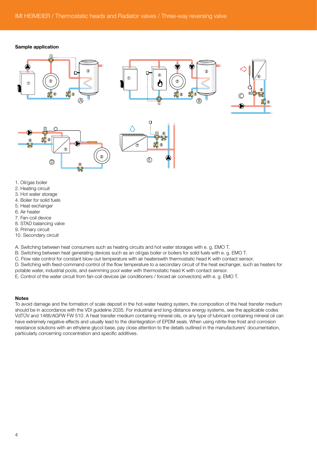#### Sample application







- 2. Heating circuit
- 3. Hot water storage
- 4. Boiler for solid fuels
- 5. Heat exchanger
- 6. Air heater
- 7. Fan-coil device
- 8. STAD balancing valve
- 9. Primary circuit
- 10. Secondary circuit

A. Switching between heat consumers such as heating circuits and hot water storages with e. g. EMO T.

B. Switching between heat generating devices such as an oil/gas boiler or boilers for solid fuels with e. g. EMO T.

C. Flow rate control for constant blow-out temperature with air heaterswith thermostatic head K with contact sensor.

D. Switching with fixed-command control of the flow temperature to a secondary circuit of the heat exchanger, such as heaters for

potable water, industrial pools, and swimming pool water with thermostatic head K with contact sensor.

E. Control of the water circuit from fan-coil devices (air conditioners / forced air convectors) with e. g. EMO T.

#### Notes

To avoid damage and the formation of scale deposit in the hot-water heating system, the composition of the heat transfer medium should be in accordance with the VDI guideline 2035. For industrial and long-distance energy systems, see the applicable codes VdTÜV and 1466/AGFW FW 510. A heat transfer medium containing mineral oils, or any type of lubricant containing mineral oil can have extremely negative effects and usually lead to the disintegration of EPDM seals. When using nitrite-free frost and corrosion resistance solutions with an ethylene glycol base, pay close attention to the details outlined in the manufacturers' documentation, particularly concerning concentration and specific additives.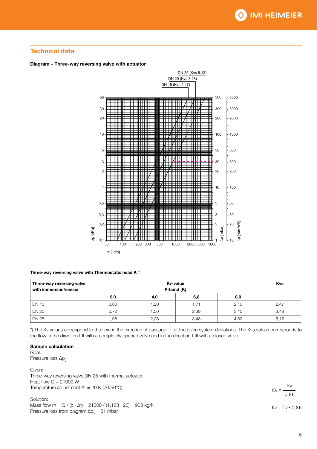#### Technical data





Three-way reversing valve with Thermostatic head K<sup> $+$ </sup>

| Three-way reversing valve<br>with immersion/sensor |      | <b>Kvs</b> |       |      |      |
|----------------------------------------------------|------|------------|-------|------|------|
|                                                    | 2,0  | 4,0        | 6,0   | 8,0  |      |
| DN 15                                              | 0,60 | 1,20       | 71. ا | 2,10 | 2,47 |
| <b>DN 20</b>                                       | 0,70 | 1,50       | 2,39  | 3,10 | 3,48 |
| <b>DN 25</b>                                       | 0,08 | 2,28       | 3,48  | 4,62 | 5,12 |

\*) The Kv values correspond to the flow in the direction of passage I-II at the given system deviations. The Kvs values corresponds to the flow in the direction I-II with a completely opened valve and in the direction I-III with a closed valve.

#### Sample calculation

Goal:

Pressure loss  $\Delta p$ <sub>V</sub>

Given: Three-way reversing valve DN 25 with thermal actuator Heat flow  $Q = 21000$  W Temperature adjustment  $\Delta t = 20$  K (70/50°C)

Solution:

Mass flow  $m = Q / (c \cdot \Delta t) = 21000 / (1,163 \cdot 20) = 903$  kg/h Pressure loss from diagram  $\Delta p_v = 31$  mbar

 $Cv = -$ Kv  $0.86$